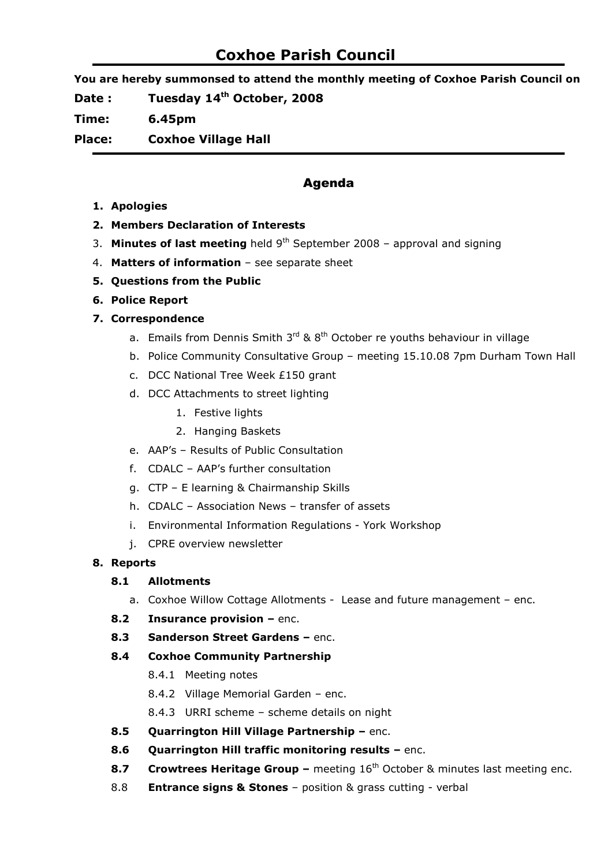# Coxhoe Parish Council

You are hereby summonsed to attend the monthly meeting of Coxhoe Parish Council on

Date : Tuesday 14<sup>th</sup> October, 2008

Time: 6.45pm

Place: Coxhoe Village Hall

# Agenda

- 1. Apologies
- 2. Members Declaration of Interests
- 3. Minutes of last meeting held  $9<sup>th</sup>$  September 2008 approval and signing
- 4. Matters of information see separate sheet
- 5. Questions from the Public
- 6. Police Report

# 7. Correspondence

- a. Emails from Dennis Smith  $3^{rd}$  &  $8^{th}$  October re youths behaviour in village
- b. Police Community Consultative Group meeting 15.10.08 7pm Durham Town Hall
- c. DCC National Tree Week £150 grant
- d. DCC Attachments to street lighting
	- 1. Festive lights
	- 2. Hanging Baskets
- e. AAP's Results of Public Consultation
- f. CDALC AAP's further consultation
- g. CTP E learning & Chairmanship Skills
- h. CDALC Association News transfer of assets
- i. Environmental Information Regulations York Workshop
- j. CPRE overview newsletter

# 8. Reports

# 8.1 Allotments

- a. Coxhoe Willow Cottage Allotments Lease and future management enc.
- 8.2 Insurance provision enc.
- 8.3 Sanderson Street Gardens enc.

# 8.4 Coxhoe Community Partnership

- 8.4.1 Meeting notes
- 8.4.2 Village Memorial Garden enc.
- 8.4.3 URRI scheme scheme details on night
- 8.5 Quarrington Hill Village Partnership enc.
- 8.6 Quarrington Hill traffic monitoring results enc.
- 8.7 Crowtrees Heritage Group meeting  $16<sup>th</sup>$  October & minutes last meeting enc.
- 8.8 **Entrance signs & Stones** position & grass cutting verbal